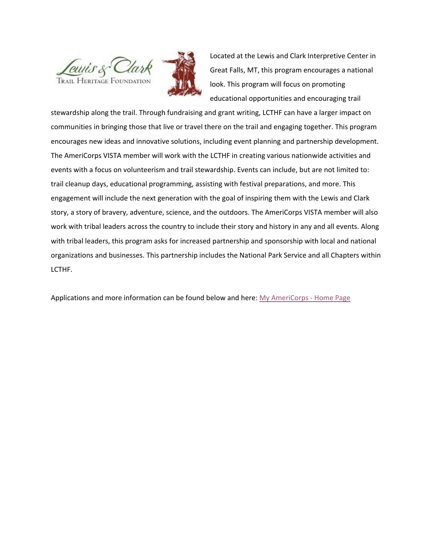



Located at the Lewis and Clark Interpretive Center in Great Falls, MT, this program encourages a national look. This program will focus on promoting educational opportunities and encouraging trail

stewardship along the trail. Through fundraising and grant writing, LCTHF can have a larger impact on communities in bringing those that live or travel there on the trail and engaging together. This program encourages new ideas and innovative solutions, including event planning and partnership development. The AmeriCorps VISTA member will work with the LCTHF in creating various nationwide activities and events with a focus on volunteerism and trail stewardship. Events can include, but are not limited to: trail cleanup days, educational programming, assisting with festival preparations, and more. This engagement will include the next generation with the goal of inspiring them with the Lewis and Clark story, a story of bravery, adventure, science, and the outdoors. The AmeriCorps VISTA member will also work with tribal leaders across the country to include their story and history in any and all events. Along with tribal leaders, this program asks for increased partnership and sponsorship with local and national organizations and businesses. This partnership includes the National Park Service and all Chapters within LCTHF.

Applications and more information can be found below and here: [My AmeriCorps -](https://my.americorps.gov/mp/listing/viewListing.do?fromSearch=true&id=109550) Home Page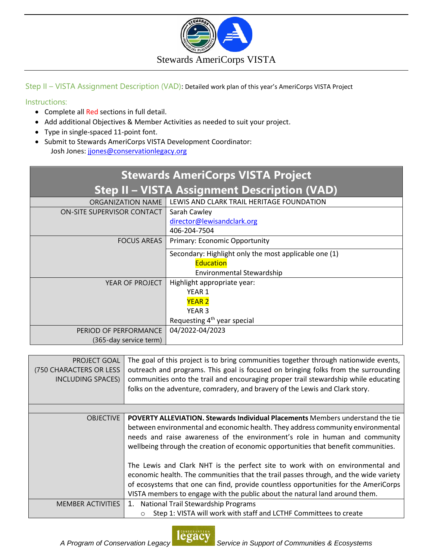

Step II – VISTA Assignment Description (VAD): Detailed work plan of this year's AmeriCorps VISTA Project

## Instructions:

- Complete all Red sections in full detail.
- Add additional Objectives & Member Activities as needed to suit your project.
- Type in single-spaced 11-point font.
- Submit to Stewards AmeriCorps VISTA Development Coordinator: Josh Jones: [jjones@conservationlegacy.org](mailto:jjones@conservationlegacy.org)

| <b>Stewards AmeriCorps VISTA Project</b>            |                                                       |  |  |
|-----------------------------------------------------|-------------------------------------------------------|--|--|
| <b>Step II - VISTA Assignment Description (VAD)</b> |                                                       |  |  |
| ORGANIZATION NAME                                   | LEWIS AND CLARK TRAIL HERITAGE FOUNDATION             |  |  |
| ON-SITE SUPERVISOR CONTACT                          | Sarah Cawley                                          |  |  |
|                                                     | director@lewisandclark.org                            |  |  |
|                                                     | 406-204-7504                                          |  |  |
| <b>FOCUS AREAS</b>                                  | <b>Primary: Economic Opportunity</b>                  |  |  |
|                                                     | Secondary: Highlight only the most applicable one (1) |  |  |
|                                                     | <b>Education</b>                                      |  |  |
|                                                     | Environmental Stewardship                             |  |  |
| YEAR OF PROJECT                                     | Highlight appropriate year:                           |  |  |
|                                                     | YEAR 1                                                |  |  |
|                                                     | <b>YEAR 2</b>                                         |  |  |
|                                                     | YEAR <sub>3</sub>                                     |  |  |
|                                                     | Requesting 4 <sup>th</sup> year special               |  |  |
| PERIOD OF PERFORMANCE                               | 04/2022-04/2023                                       |  |  |
| (365-day service term)                              |                                                       |  |  |

| PROJECT GOAL<br>(750 CHARACTERS OR LESS<br><b>INCLUDING SPACES)</b> | The goal of this project is to bring communities together through nationwide events,<br>outreach and programs. This goal is focused on bringing folks from the surrounding<br>communities onto the trail and encouraging proper trail stewardship while educating<br>folks on the adventure, comradery, and bravery of the Lewis and Clark story.                                                                                                                                                                                                                                                                                                                                    |
|---------------------------------------------------------------------|--------------------------------------------------------------------------------------------------------------------------------------------------------------------------------------------------------------------------------------------------------------------------------------------------------------------------------------------------------------------------------------------------------------------------------------------------------------------------------------------------------------------------------------------------------------------------------------------------------------------------------------------------------------------------------------|
|                                                                     |                                                                                                                                                                                                                                                                                                                                                                                                                                                                                                                                                                                                                                                                                      |
| <b>OBJECTIVE</b>                                                    | POVERTY ALLEVIATION. Stewards Individual Placements Members understand the tie<br>between environmental and economic health. They address community environmental<br>needs and raise awareness of the environment's role in human and community<br>wellbeing through the creation of economic opportunities that benefit communities.<br>The Lewis and Clark NHT is the perfect site to work with on environmental and<br>economic health. The communities that the trail passes through, and the wide variety<br>of ecosystems that one can find, provide countless opportunities for the AmeriCorps<br>VISTA members to engage with the public about the natural land around them. |
| <b>MEMBER ACTIVITIES</b>                                            | <b>National Trail Stewardship Programs</b><br>1.                                                                                                                                                                                                                                                                                                                                                                                                                                                                                                                                                                                                                                     |
|                                                                     | Step 1: VISTA will work with staff and LCTHF Committees to create                                                                                                                                                                                                                                                                                                                                                                                                                                                                                                                                                                                                                    |

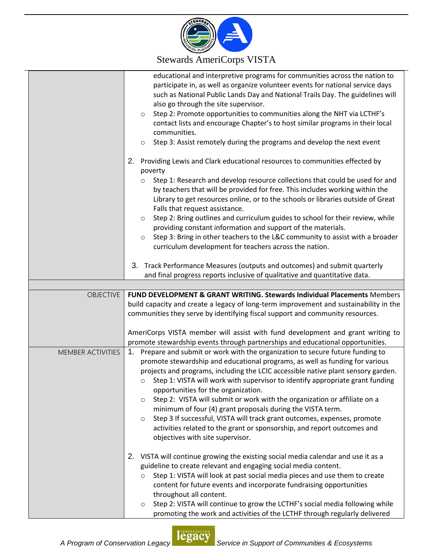

## Stewards AmeriCorps VISTA

|                   | educational and interpretive programs for communities across the nation to<br>participate in, as well as organize volunteer events for national service days<br>such as National Public Lands Day and National Trails Day. The guidelines will<br>also go through the site supervisor.<br>Step 2: Promote opportunities to communities along the NHT via LCTHF's<br>$\circ$<br>contact lists and encourage Chapter's to host similar programs in their local<br>communities.<br>Step 3: Assist remotely during the programs and develop the next event<br>$\circ$                                                                                                                                                                                   |
|-------------------|-----------------------------------------------------------------------------------------------------------------------------------------------------------------------------------------------------------------------------------------------------------------------------------------------------------------------------------------------------------------------------------------------------------------------------------------------------------------------------------------------------------------------------------------------------------------------------------------------------------------------------------------------------------------------------------------------------------------------------------------------------|
|                   | 2.<br>Providing Lewis and Clark educational resources to communities effected by<br>poverty<br>Step 1: Research and develop resource collections that could be used for and<br>$\circ$<br>by teachers that will be provided for free. This includes working within the<br>Library to get resources online, or to the schools or libraries outside of Great<br>Falls that request assistance.<br>Step 2: Bring outlines and curriculum guides to school for their review, while<br>$\circ$<br>providing constant information and support of the materials.<br>Step 3: Bring in other teachers to the L&C community to assist with a broader<br>$\circ$<br>curriculum development for teachers across the nation.                                     |
|                   | 3. Track Performance Measures (outputs and outcomes) and submit quarterly<br>and final progress reports inclusive of qualitative and quantitative data.                                                                                                                                                                                                                                                                                                                                                                                                                                                                                                                                                                                             |
|                   |                                                                                                                                                                                                                                                                                                                                                                                                                                                                                                                                                                                                                                                                                                                                                     |
| <b>OBJECTIVE</b>  | FUND DEVELOPMENT & GRANT WRITING. Stewards Individual Placements Members<br>build capacity and create a legacy of long-term improvement and sustainability in the<br>communities they serve by identifying fiscal support and community resources.<br>AmeriCorps VISTA member will assist with fund development and grant writing to<br>promote stewardship events through partnerships and educational opportunities.                                                                                                                                                                                                                                                                                                                              |
| MEMBER ACTIVITIES | 1. Prepare and submit or work with the organization to secure future funding to<br>promote stewardship and educational programs, as well as funding for various<br>projects and programs, including the LCIC accessible native plant sensory garden.<br>Step 1: VISTA will work with supervisor to identify appropriate grant funding<br>$\circ$<br>opportunities for the organization.<br>Step 2: VISTA will submit or work with the organization or affiliate on a<br>$\circ$<br>minimum of four (4) grant proposals during the VISTA term.<br>Step 3 If successful, VISTA will track grant outcomes, expenses, promote<br>$\circ$<br>activities related to the grant or sponsorship, and report outcomes and<br>objectives with site supervisor. |
|                   | 2. VISTA will continue growing the existing social media calendar and use it as a<br>guideline to create relevant and engaging social media content.<br>Step 1: VISTA will look at past social media pieces and use them to create<br>content for future events and incorporate fundraising opportunities<br>throughout all content.<br>Step 2: VISTA will continue to grow the LCTHF's social media following while<br>$\circ$<br>promoting the work and activities of the LCTHF through regularly delivered                                                                                                                                                                                                                                       |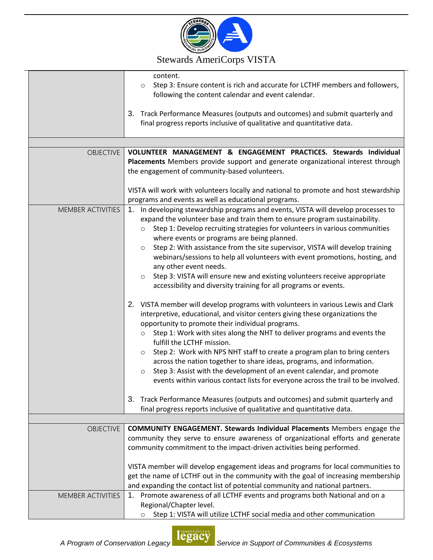

## Stewards AmeriCorps VISTA

|                          | content.<br>Step 3: Ensure content is rich and accurate for LCTHF members and followers,<br>$\circ$<br>following the content calendar and event calendar.<br>3. Track Performance Measures (outputs and outcomes) and submit quarterly and<br>final progress reports inclusive of qualitative and quantitative data.                                                                                                                                                                                                                                                                                                                                                                                                                                                                                                                                                                                                                                                                                                                                                                                                                                                                                                                                                           |
|--------------------------|--------------------------------------------------------------------------------------------------------------------------------------------------------------------------------------------------------------------------------------------------------------------------------------------------------------------------------------------------------------------------------------------------------------------------------------------------------------------------------------------------------------------------------------------------------------------------------------------------------------------------------------------------------------------------------------------------------------------------------------------------------------------------------------------------------------------------------------------------------------------------------------------------------------------------------------------------------------------------------------------------------------------------------------------------------------------------------------------------------------------------------------------------------------------------------------------------------------------------------------------------------------------------------|
|                          |                                                                                                                                                                                                                                                                                                                                                                                                                                                                                                                                                                                                                                                                                                                                                                                                                                                                                                                                                                                                                                                                                                                                                                                                                                                                                |
| <b>OBJECTIVE</b>         | VOLUNTEER MANAGEMENT & ENGAGEMENT PRACTICES. Stewards Individual<br>Placements Members provide support and generate organizational interest through<br>the engagement of community-based volunteers.                                                                                                                                                                                                                                                                                                                                                                                                                                                                                                                                                                                                                                                                                                                                                                                                                                                                                                                                                                                                                                                                           |
|                          | VISTA will work with volunteers locally and national to promote and host stewardship<br>programs and events as well as educational programs.                                                                                                                                                                                                                                                                                                                                                                                                                                                                                                                                                                                                                                                                                                                                                                                                                                                                                                                                                                                                                                                                                                                                   |
| MEMBER ACTIVITIES        | 1. In developing stewardship programs and events, VISTA will develop processes to<br>expand the volunteer base and train them to ensure program sustainability.<br>Step 1: Develop recruiting strategies for volunteers in various communities<br>$\circ$<br>where events or programs are being planned.<br>Step 2: With assistance from the site supervisor, VISTA will develop training<br>$\circ$<br>webinars/sessions to help all volunteers with event promotions, hosting, and<br>any other event needs.<br>Step 3: VISTA will ensure new and existing volunteers receive appropriate<br>$\circ$<br>accessibility and diversity training for all programs or events.<br>2. VISTA member will develop programs with volunteers in various Lewis and Clark<br>interpretive, educational, and visitor centers giving these organizations the<br>opportunity to promote their individual programs.<br>Step 1: Work with sites along the NHT to deliver programs and events the<br>$\circ$<br>fulfill the LCTHF mission.<br>Step 2: Work with NPS NHT staff to create a program plan to bring centers<br>$\circ$<br>across the nation together to share ideas, programs, and information.<br>Step 3: Assist with the development of an event calendar, and promote<br>$\circ$ |
|                          | events within various contact lists for everyone across the trail to be involved.<br>Track Performance Measures (outputs and outcomes) and submit quarterly and<br>3.                                                                                                                                                                                                                                                                                                                                                                                                                                                                                                                                                                                                                                                                                                                                                                                                                                                                                                                                                                                                                                                                                                          |
|                          | final progress reports inclusive of qualitative and quantitative data.                                                                                                                                                                                                                                                                                                                                                                                                                                                                                                                                                                                                                                                                                                                                                                                                                                                                                                                                                                                                                                                                                                                                                                                                         |
| <b>OBJECTIVE</b>         | <b>COMMUNITY ENGAGEMENT. Stewards Individual Placements Members engage the</b><br>community they serve to ensure awareness of organizational efforts and generate<br>community commitment to the impact-driven activities being performed.                                                                                                                                                                                                                                                                                                                                                                                                                                                                                                                                                                                                                                                                                                                                                                                                                                                                                                                                                                                                                                     |
|                          | VISTA member will develop engagement ideas and programs for local communities to<br>get the name of LCTHF out in the community with the goal of increasing membership<br>and expanding the contact list of potential community and national partners.                                                                                                                                                                                                                                                                                                                                                                                                                                                                                                                                                                                                                                                                                                                                                                                                                                                                                                                                                                                                                          |
| <b>MEMBER ACTIVITIES</b> | Promote awareness of all LCTHF events and programs both National and on a<br>1.<br>Regional/Chapter level.<br>Step 1: VISTA will utilize LCTHF social media and other communication                                                                                                                                                                                                                                                                                                                                                                                                                                                                                                                                                                                                                                                                                                                                                                                                                                                                                                                                                                                                                                                                                            |